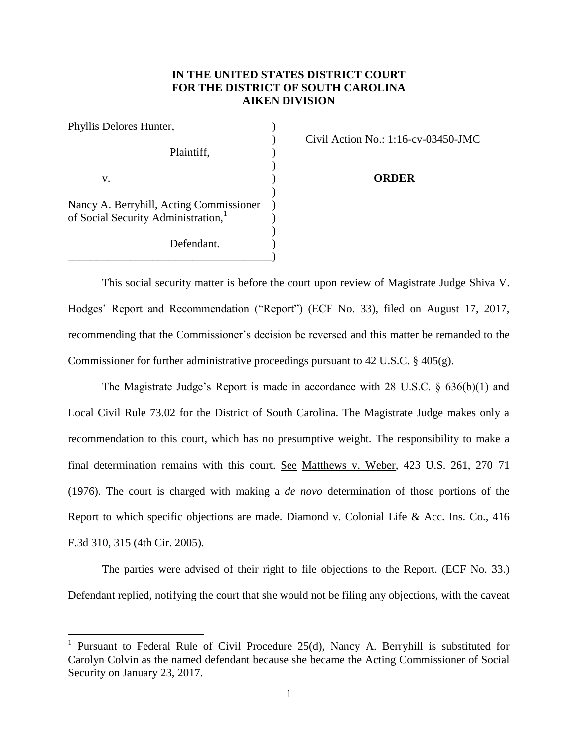## **IN THE UNITED STATES DISTRICT COURT FOR THE DISTRICT OF SOUTH CAROLINA AIKEN DIVISION**

| Phyllis Delores Hunter,                 |  |
|-----------------------------------------|--|
|                                         |  |
| Plaintiff,                              |  |
|                                         |  |
| v.                                      |  |
|                                         |  |
| Nancy A. Berryhill, Acting Commissioner |  |
| of Social Security Administration,      |  |
|                                         |  |
| Defendant.                              |  |
|                                         |  |

 $\overline{\phantom{a}}$ 

) Civil Action No.: 1:16-cv-03450-JMC

v. ) **ORDER**

This social security matter is before the court upon review of Magistrate Judge Shiva V. Hodges' Report and Recommendation ("Report") (ECF No. 33), filed on August 17, 2017, recommending that the Commissioner's decision be reversed and this matter be remanded to the Commissioner for further administrative proceedings pursuant to 42 U.S.C. § 405(g).

The Magistrate Judge's Report is made in accordance with 28 U.S.C. § 636(b)(1) and Local Civil Rule 73.02 for the District of South Carolina. The Magistrate Judge makes only a recommendation to this court, which has no presumptive weight. The responsibility to make a final determination remains with this court. See Matthews v. Weber, 423 U.S. 261, 270–71 (1976). The court is charged with making a *de novo* determination of those portions of the Report to which specific objections are made. Diamond v. Colonial Life & Acc. Ins. Co., 416 F.3d 310, 315 (4th Cir. 2005).

The parties were advised of their right to file objections to the Report. (ECF No. 33.) Defendant replied, notifying the court that she would not be filing any objections, with the caveat

<sup>&</sup>lt;sup>1</sup> Pursuant to Federal Rule of Civil Procedure 25(d), Nancy A. Berryhill is substituted for Carolyn Colvin as the named defendant because she became the Acting Commissioner of Social Security on January 23, 2017.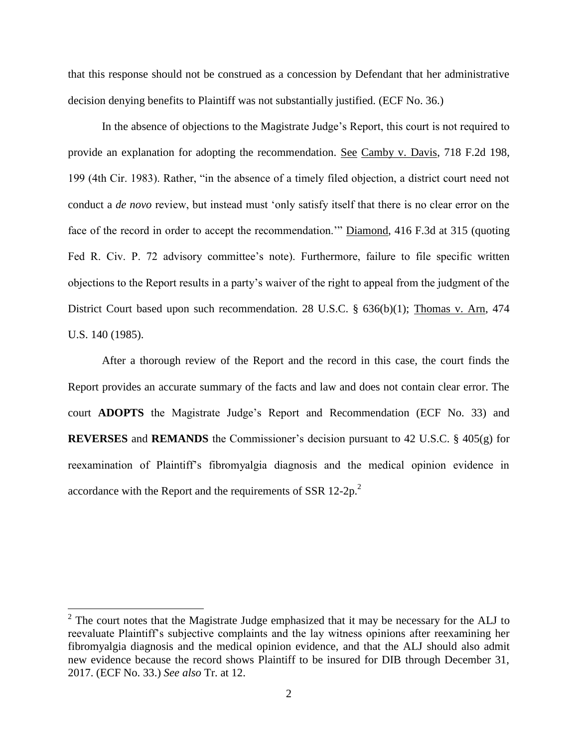that this response should not be construed as a concession by Defendant that her administrative decision denying benefits to Plaintiff was not substantially justified. (ECF No. 36.)

In the absence of objections to the Magistrate Judge's Report, this court is not required to provide an explanation for adopting the recommendation. See Camby v. Davis, 718 F.2d 198, 199 (4th Cir. 1983). Rather, "in the absence of a timely filed objection, a district court need not conduct a *de novo* review, but instead must 'only satisfy itself that there is no clear error on the face of the record in order to accept the recommendation.'" Diamond, 416 F.3d at 315 (quoting Fed R. Civ. P. 72 advisory committee's note). Furthermore, failure to file specific written objections to the Report results in a party's waiver of the right to appeal from the judgment of the District Court based upon such recommendation. 28 U.S.C. § 636(b)(1); Thomas v. Arn, 474 U.S. 140 (1985).

After a thorough review of the Report and the record in this case, the court finds the Report provides an accurate summary of the facts and law and does not contain clear error. The court **ADOPTS** the Magistrate Judge's Report and Recommendation (ECF No. 33) and **REVERSES** and **REMANDS** the Commissioner's decision pursuant to 42 U.S.C. § 405(g) for reexamination of Plaintiff's fibromyalgia diagnosis and the medical opinion evidence in accordance with the Report and the requirements of SSR 12-2p.<sup>2</sup>

<sup>&</sup>lt;sup>2</sup> The court notes that the Magistrate Judge emphasized that it may be necessary for the ALJ to reevaluate Plaintiff's subjective complaints and the lay witness opinions after reexamining her fibromyalgia diagnosis and the medical opinion evidence, and that the ALJ should also admit new evidence because the record shows Plaintiff to be insured for DIB through December 31, 2017. (ECF No. 33.) *See also* Tr. at 12.